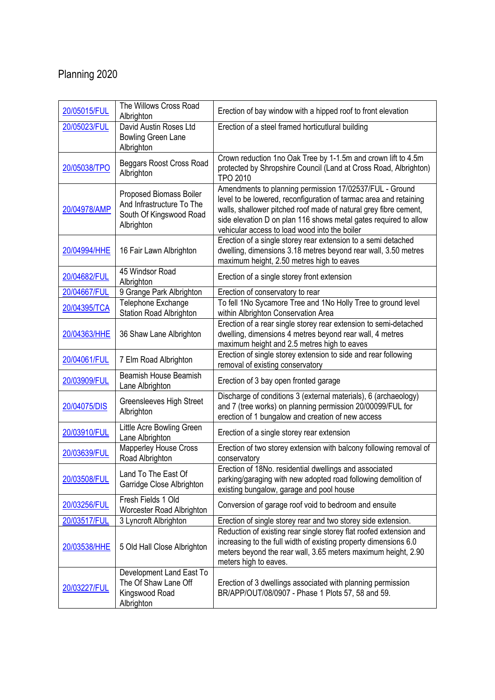## Planning 2020

| 20/05015/FUL | The Willows Cross Road<br>Albrighton                                                          | Erection of bay window with a hipped roof to front elevation                                                                                                                                                                                                                                                          |
|--------------|-----------------------------------------------------------------------------------------------|-----------------------------------------------------------------------------------------------------------------------------------------------------------------------------------------------------------------------------------------------------------------------------------------------------------------------|
| 20/05023/FUL | David Austin Roses Ltd<br>Bowling Green Lane<br>Albrighton                                    | Erection of a steel framed horticutlural building                                                                                                                                                                                                                                                                     |
| 20/05038/TPO | Beggars Roost Cross Road<br>Albrighton                                                        | Crown reduction 1no Oak Tree by 1-1.5m and crown lift to 4.5m<br>protected by Shropshire Council (Land at Cross Road, Albrighton)<br><b>TPO 2010</b>                                                                                                                                                                  |
| 20/04978/AMP | Proposed Biomass Boiler<br>And Infrastructure To The<br>South Of Kingswood Road<br>Albrighton | Amendments to planning permission 17/02537/FUL - Ground<br>level to be lowered, reconfiguration of tarmac area and retaining<br>walls, shallower pitched roof made of natural grey fibre cement,<br>side elevation D on plan 116 shows metal gates required to allow<br>vehicular access to load wood into the boiler |
| 20/04994/HHE | 16 Fair Lawn Albrighton                                                                       | Erection of a single storey rear extension to a semi detached<br>dwelling, dimensions 3.18 metres beyond rear wall, 3.50 metres<br>maximum height, 2.50 metres high to eaves                                                                                                                                          |
| 20/04682/FUL | 45 Windsor Road<br>Albrighton                                                                 | Erection of a single storey front extension                                                                                                                                                                                                                                                                           |
| 20/04667/FUL | 9 Grange Park Albrighton                                                                      | Erection of conservatory to rear                                                                                                                                                                                                                                                                                      |
| 20/04395/TCA | Telephone Exchange<br>Station Road Albrighton                                                 | To fell 1No Sycamore Tree and 1No Holly Tree to ground level<br>within Albrighton Conservation Area                                                                                                                                                                                                                   |
| 20/04363/HHE | 36 Shaw Lane Albrighton                                                                       | Erection of a rear single storey rear extension to semi-detached<br>dwelling, dimensions 4 metres beyond rear wall, 4 metres<br>maximum height and 2.5 metres high to eaves                                                                                                                                           |
| 20/04061/FUL | 7 Elm Road Albrighton                                                                         | Erection of single storey extension to side and rear following<br>removal of existing conservatory                                                                                                                                                                                                                    |
| 20/03909/FUL | <b>Beamish House Beamish</b><br>Lane Albrighton                                               | Erection of 3 bay open fronted garage                                                                                                                                                                                                                                                                                 |
| 20/04075/DIS | Greensleeves High Street<br>Albrighton                                                        | Discharge of conditions 3 (external materials), 6 (archaeology)<br>and 7 (tree works) on planning permission 20/00099/FUL for<br>erection of 1 bungalow and creation of new access                                                                                                                                    |
| 20/03910/FUL | Little Acre Bowling Green<br>Lane Albrighton                                                  | Erection of a single storey rear extension                                                                                                                                                                                                                                                                            |
| 20/03639/FUL | Mapperley House Cross<br>Road Albrighton                                                      | Erection of two storey extension with balcony following removal of<br>conservatory                                                                                                                                                                                                                                    |
| 20/03508/FUL | Land To The East Of<br>Garridge Close Albrighton                                              | Erection of 18No. residential dwellings and associated<br>parking/garaging with new adopted road following demolition of<br>existing bungalow, garage and pool house                                                                                                                                                  |
| 20/03256/FUL | Fresh Fields 1 Old<br>Worcester Road Albrighton                                               | Conversion of garage roof void to bedroom and ensuite                                                                                                                                                                                                                                                                 |
| 20/03517/FUL | 3 Lyncroft Albrighton                                                                         | Erection of single storey rear and two storey side extension.                                                                                                                                                                                                                                                         |
| 20/03538/HHE | 5 Old Hall Close Albrighton                                                                   | Reduction of existing rear single storey flat roofed extension and<br>increasing to the full width of existing property dimensions 6.0<br>meters beyond the rear wall, 3.65 meters maximum height, 2.90<br>meters high to eaves.                                                                                      |
| 20/03227/FUL | Development Land East To<br>The Of Shaw Lane Off<br>Kingswood Road<br>Albrighton              | Erection of 3 dwellings associated with planning permission<br>BR/APP/OUT/08/0907 - Phase 1 Plots 57, 58 and 59.                                                                                                                                                                                                      |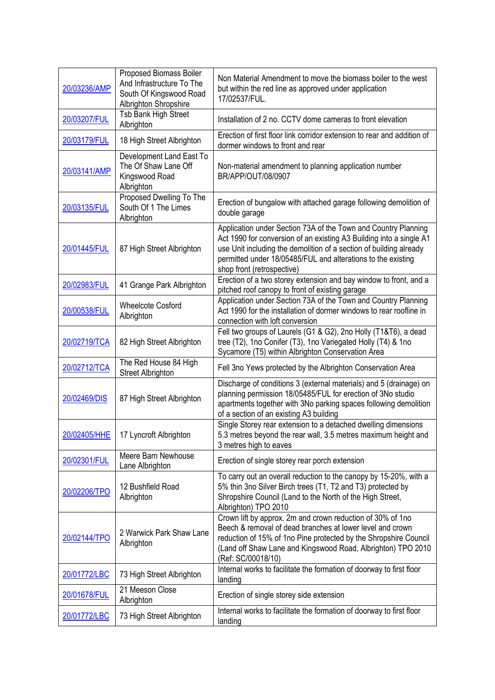| 20/03236/AMP | Proposed Biomass Boiler<br>And Infrastructure To The<br>South Of Kingswood Road<br>Albrighton Shropshire | Non Material Amendment to move the biomass boiler to the west<br>but within the red line as approved under application<br>17/02537/FUL.                                                                                                                                                                   |
|--------------|----------------------------------------------------------------------------------------------------------|-----------------------------------------------------------------------------------------------------------------------------------------------------------------------------------------------------------------------------------------------------------------------------------------------------------|
| 20/03207/FUL | Tsb Bank High Street<br>Albrighton                                                                       | Installation of 2 no. CCTV dome cameras to front elevation                                                                                                                                                                                                                                                |
| 20/03179/FUL | 18 High Street Albrighton                                                                                | Erection of first floor link corridor extension to rear and addition of<br>dormer windows to front and rear                                                                                                                                                                                               |
| 20/03141/AMP | Development Land East To<br>The Of Shaw Lane Off<br>Kingswood Road<br>Albrighton                         | Non-material amendment to planning application number<br>BR/APP/OUT/08/0907                                                                                                                                                                                                                               |
| 20/03135/FUL | Proposed Dwelling To The<br>South Of 1 The Limes<br>Albrighton                                           | Erection of bungalow with attached garage following demolition of<br>double garage                                                                                                                                                                                                                        |
| 20/01445/FUL | 87 High Street Albrighton                                                                                | Application under Section 73A of the Town and Country Planning<br>Act 1990 for conversion of an existing A3 Building into a single A1<br>use Unit including the demolition of a section of building already<br>permitted under 18/05485/FUL and alterations to the existing<br>shop front (retrospective) |
| 20/02983/FUL | 41 Grange Park Albrighton                                                                                | Erection of a two storey extension and bay window to front, and a<br>pitched roof canopy to front of existing garage                                                                                                                                                                                      |
| 20/00538/FUL | <b>Wheelcote Cosford</b><br>Albrighton                                                                   | Application under Section 73A of the Town and Country Planning<br>Act 1990 for the installation of dormer windows to rear roofline in<br>connection with loft conversion                                                                                                                                  |
| 20/02719/TCA | 82 High Street Albrighton                                                                                | Fell two groups of Laurels (G1 & G2), 2no Holly (T1&T6), a dead<br>tree (T2), 1no Conifer (T3), 1no Variegated Holly (T4) & 1no<br>Sycamore (T5) within Albrighton Conservation Area                                                                                                                      |
| 20/02712/TCA | The Red House 84 High<br><b>Street Albrighton</b>                                                        | Fell 3no Yews protected by the Albrighton Conservation Area                                                                                                                                                                                                                                               |
| 20/02469/DIS | 87 High Street Albrighton                                                                                | Discharge of conditions 3 (external materials) and 5 (drainage) on<br>planning permission 18/05485/FUL for erection of 3No studio<br>apartments together with 3No parking spaces following demolition<br>of a section of an existing A3 building                                                          |
| 20/02405/HHE | 17 Lyncroft Albrighton                                                                                   | Single Storey rear extension to a detached dwelling dimensions<br>5.3 metres beyond the rear wall, 3.5 metres maximum height and<br>3 metres high to eaves                                                                                                                                                |
| 20/02301/FUL | Meere Barn Newhouse<br>Lane Albrighton                                                                   | Erection of single storey rear porch extension                                                                                                                                                                                                                                                            |
| 20/02206/TPO | 12 Bushfield Road<br>Albrighton                                                                          | To carry out an overall reduction to the canopy by 15-20%, with a<br>5% thin 3no Silver Birch trees (T1, T2 and T3) protected by<br>Shropshire Council (Land to the North of the High Street,<br>Albrighton) TPO 2010                                                                                     |
| 20/02144/TPO | 2 Warwick Park Shaw Lane<br>Albrighton                                                                   | Crown lift by approx. 2m and crown reduction of 30% of 1no<br>Beech & removal of dead branches at lower level and crown<br>reduction of 15% of 1no Pine protected by the Shropshire Council<br>(Land off Shaw Lane and Kingswood Road, Albrighton) TPO 2010<br>(Ref: SC/00018/10)                         |
| 20/01772/LBC | 73 High Street Albrighton                                                                                | Internal works to facilitate the formation of doorway to first floor<br>landing                                                                                                                                                                                                                           |
| 20/01678/FUL | 21 Meeson Close<br>Albrighton                                                                            | Erection of single storey side extension                                                                                                                                                                                                                                                                  |
| 20/01772/LBC | 73 High Street Albrighton                                                                                | Internal works to facilitate the formation of doorway to first floor<br>landing                                                                                                                                                                                                                           |